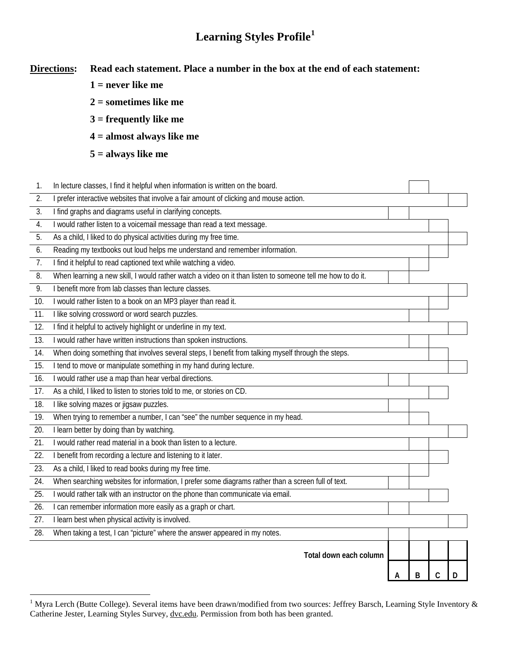## **Learning Styles Profile[1](#page-0-0)**

**Directions: Read each statement. Place a number in the box at the end of each statement:** 

- **1 = never like me**
- **2 = sometimes like me**
- **3 = frequently like me**
- **4 = almost always like me**
- **5 = always like me**

 $\overline{a}$ 

1. In lecture classes, I find it helpful when information is written on the board.

| 2.                | prefer interactive websites that involve a fair amount of clicking and mouse action.                       |   |   |   |   |  |  |
|-------------------|------------------------------------------------------------------------------------------------------------|---|---|---|---|--|--|
| 3.                | I find graphs and diagrams useful in clarifying concepts.                                                  |   |   |   |   |  |  |
| 4.                | I would rather listen to a voicemail message than read a text message.                                     |   |   |   |   |  |  |
| $\overline{5}$ .  | As a child, I liked to do physical activities during my free time.                                         |   |   |   |   |  |  |
| 6.                | Reading my textbooks out loud helps me understand and remember information.                                |   |   |   |   |  |  |
| 7.                | I find it helpful to read captioned text while watching a video.                                           |   |   |   |   |  |  |
| 8.                | When learning a new skill, I would rather watch a video on it than listen to someone tell me how to do it. |   |   |   |   |  |  |
| 9.                | I benefit more from lab classes than lecture classes.                                                      |   |   |   |   |  |  |
| 10.               | I would rather listen to a book on an MP3 player than read it.                                             |   |   |   |   |  |  |
| 11.               | I like solving crossword or word search puzzles.                                                           |   |   |   |   |  |  |
| 12.               | I find it helpful to actively highlight or underline in my text.                                           |   |   |   |   |  |  |
| 13.               | would rather have written instructions than spoken instructions.                                           |   |   |   |   |  |  |
| 14.               | When doing something that involves several steps, I benefit from talking myself through the steps.         |   |   |   |   |  |  |
| 15.               | I tend to move or manipulate something in my hand during lecture.                                          |   |   |   |   |  |  |
| 16.               | I would rather use a map than hear verbal directions.                                                      |   |   |   |   |  |  |
| 17.               | As a child, I liked to listen to stories told to me, or stories on CD.                                     |   |   |   |   |  |  |
| 18.               | I like solving mazes or jigsaw puzzles.                                                                    |   |   |   |   |  |  |
| 19.               | When trying to remember a number, I can "see" the number sequence in my head.                              |   |   |   |   |  |  |
| 20.               | I learn better by doing than by watching.                                                                  |   |   |   |   |  |  |
| 21.               | I would rather read material in a book than listen to a lecture.                                           |   |   |   |   |  |  |
| 22.               | I benefit from recording a lecture and listening to it later.                                              |   |   |   |   |  |  |
| 23.               | As a child, I liked to read books during my free time.                                                     |   |   |   |   |  |  |
| 24.               | When searching websites for information, I prefer some diagrams rather than a screen full of text.         |   |   |   |   |  |  |
| $\overline{25}$ . | I would rather talk with an instructor on the phone than communicate via email.                            |   |   |   |   |  |  |
| 26.               | can remember information more easily as a graph or chart.                                                  |   |   |   |   |  |  |
| 27.               | I learn best when physical activity is involved.                                                           |   |   |   |   |  |  |
| 28.               | When taking a test, I can "picture" where the answer appeared in my notes.                                 |   |   |   |   |  |  |
|                   |                                                                                                            |   |   |   |   |  |  |
|                   | Total down each column                                                                                     |   |   |   |   |  |  |
|                   |                                                                                                            | А | B | C | D |  |  |
|                   |                                                                                                            |   |   |   |   |  |  |

<span id="page-0-0"></span><sup>&</sup>lt;sup>1</sup> Myra Lerch (Butte College). Several items have been drawn/modified from two sources: Jeffrey Barsch, Learning Style Inventory  $\&$ Catherine Jester, Learning Styles Survey, [dvc.edu](http://www.dvc.edu/). Permission from both has been granted.